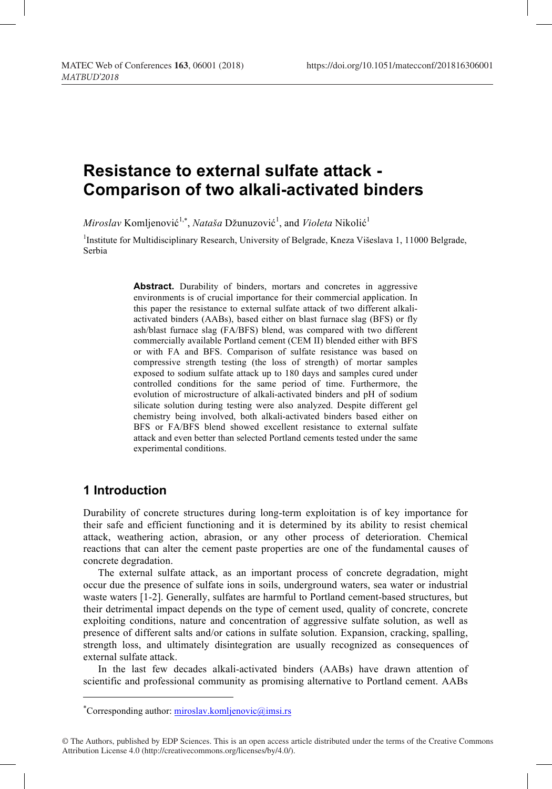# **Resistance to external sulfate attack - Comparison of two alkali-activated binders**

*Miroslav* Komljenović<sup>1,\*</sup>, *Nataša* Džunuzović<sup>1</sup>, and *Violeta* Nikolić<sup>1</sup>

<sup>1</sup>Institute for Multidisciplinary Research, University of Belgrade, Kneza Višeslava 1, 11000 Belgrade, Serbia

> Abstract. Durability of binders, mortars and concretes in aggressive environments is of crucial importance for their commercial application. In this paper the resistance to external sulfate attack of two different alkaliactivated binders (AABs), based either on blast furnace slag (BFS) or fly ash/blast furnace slag (FA/BFS) blend, was compared with two different commercially available Portland cement (CEM II) blended either with BFS or with FA and BFS. Comparison of sulfate resistance was based on compressive strength testing (the loss of strength) of mortar samples exposed to sodium sulfate attack up to 180 days and samples cured under controlled conditions for the same period of time. Furthermore, the evolution of microstructure of alkali-activated binders and pH of sodium silicate solution during testing were also analyzed. Despite different gel chemistry being involved, both alkali-activated binders based either on BFS or FA/BFS blend showed excellent resistance to external sulfate attack and even better than selected Portland cements tested under the same experimental conditions.

# **1 Introduction**

Durability of concrete structures during long-term exploitation is of key importance for their safe and efficient functioning and it is determined by its ability to resist chemical attack, weathering action, abrasion, or any other process of deterioration. Chemical reactions that can alter the cement paste properties are one of the fundamental causes of concrete degradation.

The external sulfate attack, as an important process of concrete degradation, might occur due the presence of sulfate ions in soils, underground waters, sea water or industrial waste waters [1-2]. Generally, sulfates are harmful to Portland cement-based structures, but their detrimental impact depends on the type of cement used, quality of concrete, concrete exploiting conditions, nature and concentration of aggressive sulfate solution, as well as presence of different salts and/or cations in sulfate solution. Expansion, cracking, spalling, strength loss, and ultimately disintegration are usually recognized as consequences of external sulfate attack.

In the last few decades alkali-activated binders (AABs) have drawn attention of scientific and professional community as promising alternative to Portland cement. AABs

<sup>\*</sup> Corresponding author: miroslav.komljenovic@imsi.rs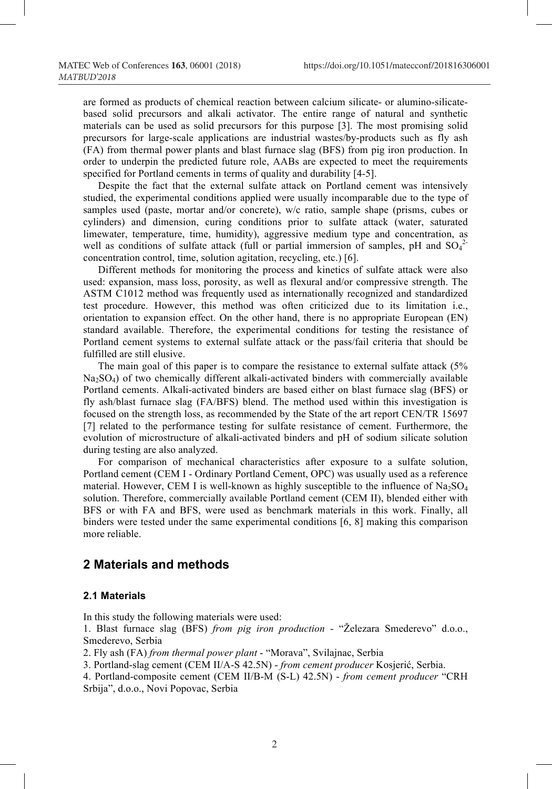are formed as products of chemical reaction between calcium silicate- or alumino-silicatebased solid precursors and alkali activator. The entire range of natural and synthetic materials can be used as solid precursors for this purpose [3]. The most promising solid precursors for large-scale applications are industrial wastes/by-products such as fly ash (FA) from thermal power plants and blast furnace slag (BFS) from pig iron production. In order to underpin the predicted future role, AABs are expected to meet the requirements specified for Portland cements in terms of quality and durability [4-5].

Despite the fact that the external sulfate attack on Portland cement was intensively studied, the experimental conditions applied were usually incomparable due to the type of samples used (paste, mortar and/or concrete), w/c ratio, sample shape (prisms, cubes or cylinders) and dimension, curing conditions prior to sulfate attack (water, saturated limewater, temperature, time, humidity), aggressive medium type and concentration, as well as conditions of sulfate attack (full or partial immersion of samples, pH and  $SO_4^2$ concentration control, time, solution agitation, recycling, etc.) [6].

Different methods for monitoring the process and kinetics of sulfate attack were also used: expansion, mass loss, porosity, as well as flexural and/or compressive strength. The ASTM C1012 method was frequently used as internationally recognized and standardized test procedure. However, this method was often criticized due to its limitation i.e., orientation to expansion effect. On the other hand, there is no appropriate European (EN) standard available. Therefore, the experimental conditions for testing the resistance of Portland cement systems to external sulfate attack or the pass/fail criteria that should be fulfilled are still elusive.

The main goal of this paper is to compare the resistance to external sulfate attack (5%  $Na<sub>2</sub>SO<sub>4</sub>$ ) of two chemically different alkali-activated binders with commercially available Portland cements. Alkali-activated binders are based either on blast furnace slag (BFS) or fly ash/blast furnace slag (FA/BFS) blend. The method used within this investigation is focused on the strength loss, as recommended by the State of the art report CEN/TR 15697 [7] related to the performance testing for sulfate resistance of cement. Furthermore, the evolution of microstructure of alkali-activated binders and pH of sodium silicate solution during testing are also analyzed.

For comparison of mechanical characteristics after exposure to a sulfate solution, Portland cement (CEM I - Ordinary Portland Cement, OPC) was usually used as a reference material. However, CEM I is well-known as highly susceptible to the influence of  $Na<sub>2</sub>SO<sub>4</sub>$ solution. Therefore, commercially available Portland cement (CEM II), blended either with BFS or with FA and BFS, were used as benchmark materials in this work. Finally, all binders were tested under the same experimental conditions [6, 8] making this comparison more reliable.

# **2 Materials and methods**

### **2.1 Materials**

In this study the following materials were used:

1. Blast furnace slag (BFS) *from pig iron production* - "Železara Smederevo" d.o.o., Smederevo, Serbia

2. Fly ash (FA) *from thermal power plant* - "Morava", Svilajnac, Serbia

3. Portland-slag cement (CEM II/A-S 42.5N) - *from cement producer* Kosjerić, Serbia.

4. Portland-composite cement (СЕМ II/В-М (S-L) 42.5N) - *from cement producer* "CRH Srbija", d.o.o., Novi Popovac, Serbia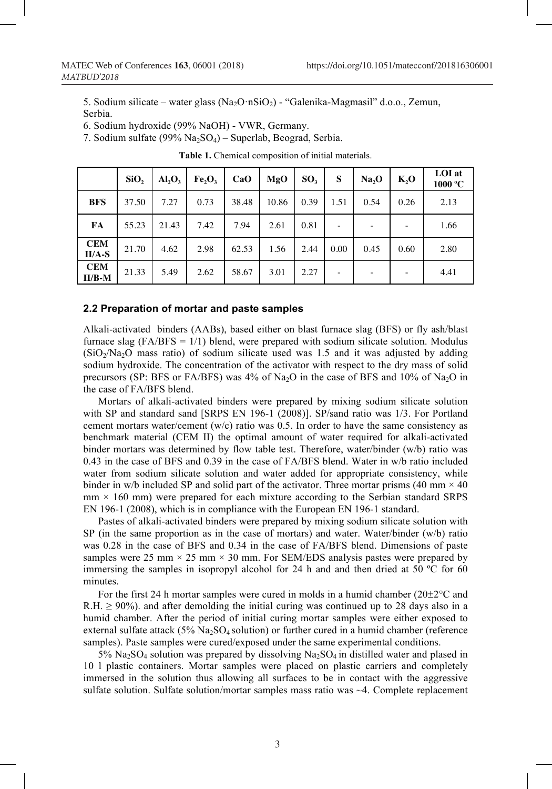5. Sodium silicate – water glass  $(Na_2O \cdot nSiO_2)$  - "Galenika-Magmasil" d.o.o., Zemun, Serbia.

6. Sodium hydroxide (99% NaOH) - VWR, Germany.

7. Sodium sulfate (99% Na2SO4) – Superlab, Beograd, Serbia.

|                        | SiO <sub>2</sub> | AI, O <sub>3</sub> | Fe, O, | CaO   | MgO   | SO <sub>3</sub> | S    | Na, O | K, O | <b>LOI</b> at<br>1000 °C |
|------------------------|------------------|--------------------|--------|-------|-------|-----------------|------|-------|------|--------------------------|
| <b>BFS</b>             | 37.50            | 7.27               | 0.73   | 38.48 | 10.86 | 0.39            | 1.51 | 0.54  | 0.26 | 2.13                     |
| FA                     | 55.23            | 21.43              | 7.42   | 7.94  | 2.61  | 0.81            |      |       |      | 1.66                     |
| <b>CEM</b><br>$II/A-S$ | 21.70            | 4.62               | 2.98   | 62.53 | 1.56  | 2.44            | 0.00 | 0.45  | 0.60 | 2.80                     |
| <b>CEM</b><br>$II/B-M$ | 21.33            | 5.49               | 2.62   | 58.67 | 3.01  | 2.27            | -    |       | -    | 4.41                     |

**Table 1.** Chemical composition of initial materials.

#### **2.2 Preparation of mortar and paste samples**

Alkali-activated binders (AABs), based either on blast furnace slag (BFS) or fly ash/blast furnace slag  $(FA/BFS = 1/1)$  blend, were prepared with sodium silicate solution. Modulus  $(SiO<sub>2</sub>/Na<sub>2</sub>O$  mass ratio) of sodium silicate used was 1.5 and it was adjusted by adding sodium hydroxide. The concentration of the activator with respect to the dry mass of solid precursors (SP: BFS or FA/BFS) was 4% of Na<sub>2</sub>O in the case of BFS and 10% of Na<sub>2</sub>O in the case of FA/BFS blend.

Mortars of alkali-activated binders were prepared by mixing sodium silicate solution with SP and standard sand [SRPS EN 196-1 (2008)]. SP/sand ratio was 1/3. For Portland cement mortars water/cement  $(w/c)$  ratio was 0.5. In order to have the same consistency as benchmark material (CEM II) the optimal amount of water required for alkali-activated binder mortars was determined by flow table test. Therefore, water/binder (w/b) ratio was 0.43 in the case of BFS and 0.39 in the case of FA/BFS blend. Water in w/b ratio included water from sodium silicate solution and water added for appropriate consistency, while binder in w/b included SP and solid part of the activator. Three mortar prisms (40 mm  $\times$  40  $mm \times 160$  mm) were prepared for each mixture according to the Serbian standard SRPS EN 196-1 (2008), which is in compliance with the European EN 196-1 standard.

Pastes of alkali-activated binders were prepared by mixing sodium silicate solution with SP (in the same proportion as in the case of mortars) and water. Water/binder (w/b) ratio was 0.28 in the case of BFS and 0.34 in the case of FA/BFS blend. Dimensions of paste samples were 25 mm  $\times$  25 mm  $\times$  30 mm. For SEM/EDS analysis pastes were prepared by immersing the samples in isopropyl alcohol for 24 h and and then dried at 50  $^{\circ}$ C for 60 minutes.

For the first 24 h mortar samples were cured in molds in a humid chamber  $(20\pm2^{\circ}C \text{ and }$ R.H.  $\geq$  90%). and after demolding the initial curing was continued up to 28 days also in a humid chamber. After the period of initial curing mortar samples were either exposed to external sulfate attack (5% Na<sub>2</sub>SO<sub>4</sub> solution) or further cured in a humid chamber (reference samples). Paste samples were cured/exposed under the same experimental conditions.

 $5\%$  Na<sub>2</sub>SO<sub>4</sub> solution was prepared by dissolving Na<sub>2</sub>SO<sub>4</sub> in distilled water and plased in 10 l plastic containers. Mortar samples were placed on plastic carriers and completely immersed in the solution thus allowing all surfaces to be in contact with the aggressive sulfate solution. Sulfate solution/mortar samples mass ratio was  $\sim$ 4. Complete replacement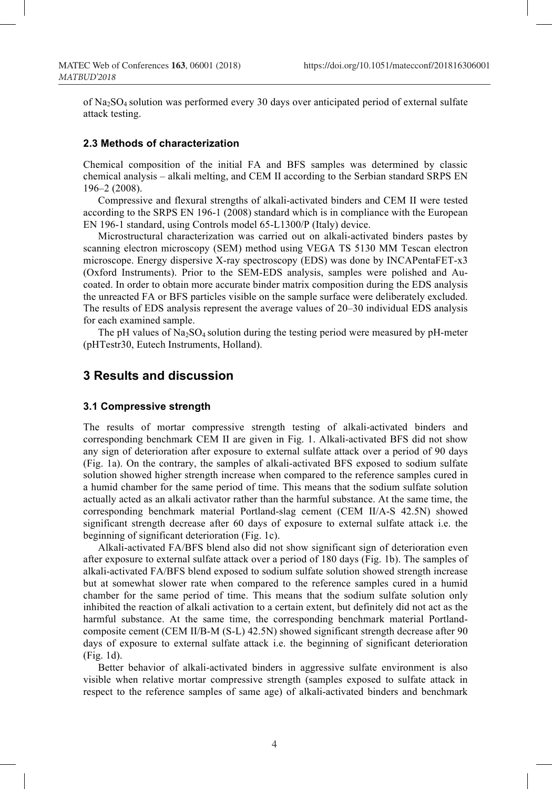of Na2SO4 solution was performed every 30 days over anticipated period of external sulfate attack testing.

#### **2.3 Methods of characterization**

Chemical composition of the initial FA and BFS samples was determined by classic chemical analysis – alkali melting, and CEM II according to the Serbian standard SRPS EN 196–2 (2008).

Compressive and flexural strengths of alkali-activated binders and CEM II were tested according to the SRPS EN 196-1 (2008) standard which is in compliance with the European EN 196-1 standard, using Controls model 65-L1300/P (Italy) device.

Microstructural characterization was carried out on alkali-activated binders pastes by scanning electron microscopy (SEM) method using VEGA TS 5130 MM Tescan electron microscope. Energy dispersive X-ray spectroscopy (EDS) was done by INCAPentaFET-x3 (Oxford Instruments). Prior to the SEM-EDS analysis, samples were polished and Aucoated. In order to obtain more accurate binder matrix composition during the EDS analysis the unreacted FA or BFS particles visible on the sample surface were deliberately excluded. The results of EDS analysis represent the average values of 20–30 individual EDS analysis for each examined sample.

The pH values of  $Na<sub>2</sub>SO<sub>4</sub>$  solution during the testing period were measured by pH-meter (pHTestr30, Eutech Instruments, Holland).

# **3 Results and discussion**

#### **3.1 Compressive strength**

The results of mortar compressive strength testing of alkali-activated binders and corresponding benchmark CEM II are given in Fig. 1. Alkali-activated BFS did not show any sign of deterioration after exposure to external sulfate attack over a period of 90 days (Fig. 1a). On the contrary, the samples of alkali-activated BFS exposed to sodium sulfate solution showed higher strength increase when compared to the reference samples cured in a humid chamber for the same period of time. This means that the sodium sulfate solution actually acted as an alkali activator rather than the harmful substance. At the same time, the corresponding benchmark material Portland-slag cement (CEM II/A-S 42.5N) showed significant strength decrease after 60 days of exposure to external sulfate attack i.e. the beginning of significant deterioration (Fig. 1c).

Alkali-activated FA/BFS blend also did not show significant sign of deterioration even after exposure to external sulfate attack over a period of 180 days (Fig. 1b). The samples of alkali-activated FA/BFS blend exposed to sodium sulfate solution showed strength increase but at somewhat slower rate when compared to the reference samples cured in a humid chamber for the same period of time. This means that the sodium sulfate solution only inhibited the reaction of alkali activation to a certain extent, but definitely did not act as the harmful substance. At the same time, the corresponding benchmark material Portlandcomposite cement (СЕМ II/В-М (S-L) 42.5N) showed significant strength decrease after 90 days of exposure to external sulfate attack i.e. the beginning of significant deterioration (Fig. 1d).

Better behavior of alkali-activated binders in aggressive sulfate environment is also visible when relative mortar compressive strength (samples exposed to sulfate attack in respect to the reference samples of same age) of alkali-activated binders and benchmark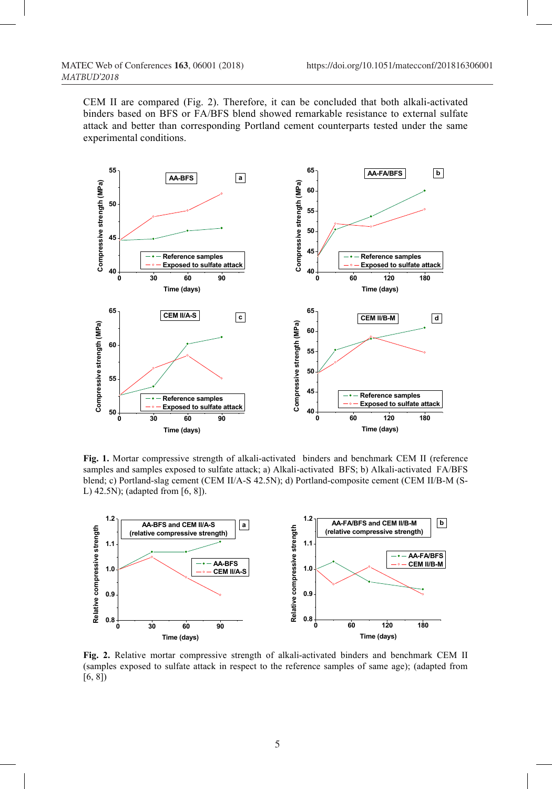CEM II are compared (Fig. 2). Therefore, it can be concluded that both alkali-activated binders based on BFS or FA/BFS blend showed remarkable resistance to external sulfate attack and better than corresponding Portland cement counterparts tested under the same experimental conditions.



**Fig. 1.** Mortar compressive strength of alkali-activated binders and benchmark CEM II (reference samples and samples exposed to sulfate attack; a) Alkali-activated BFS; b) Alkali-activated FA/BFS blend; c) Portland-slag cement (CEM II/A-S 42.5N); d) Portland-composite cement (СЕМ II/В-М (S-L) 42.5N); (adapted from [6, 8]).



**Fig. 2.** Relative mortar compressive strength of alkali-activated binders and benchmark CEM II (samples exposed to sulfate attack in respect to the reference samples of same age); (adapted from [6, 8])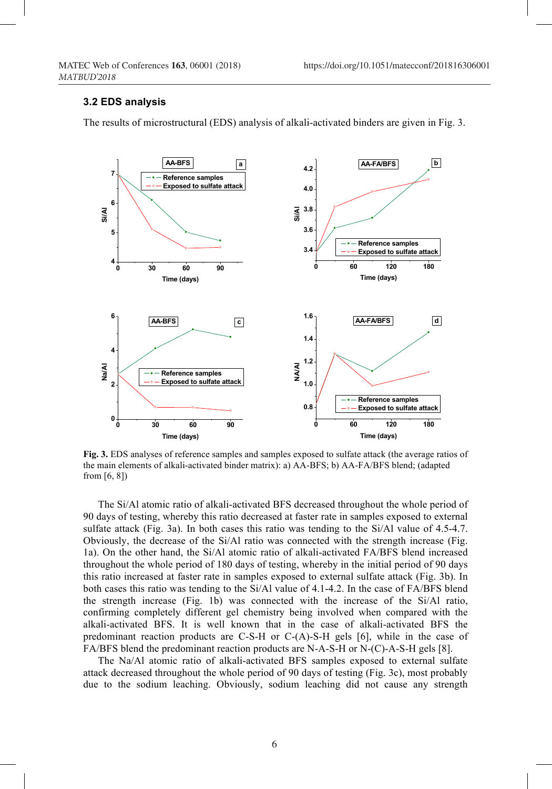#### **3.2 EDS analysis**

The results of microstructural (EDS) analysis of alkali-activated binders are given in Fig. 3.



**Fig. 3.** EDS analyses of reference samples and samples exposed to sulfate attack (the average ratios of the main elements of alkali-activated binder matrix): a) AA-BFS; b) AA-FA/BFS blend; (adapted from [6, 8])

The Si/Al atomic ratio of alkali-activated BFS decreased throughout the whole period of 90 days of testing, whereby this ratio decreased at faster rate in samples exposed to external sulfate attack (Fig. 3a). In both cases this ratio was tending to the Si/Al value of 4.5-4.7. Obviously, the decrease of the Si/Al ratio was connected with the strength increase (Fig. 1a). On the other hand, the Si/Al atomic ratio of alkali-activated FA/BFS blend increased throughout the whole period of 180 days of testing, whereby in the initial period of 90 days this ratio increased at faster rate in samples exposed to external sulfate attack (Fig. 3b). In both cases this ratio was tending to the Si/Al value of 4.1-4.2. In the case of FA/BFS blend the strength increase (Fig. 1b) was connected with the increase of the Si/Al ratio, confirming completely different gel chemistry being involved when compared with the alkali-activated BFS. It is well known that in the case of alkali-activated BFS the predominant reaction products are C-S-H or C-(A)-S-H gels [6], while in the case of FA/BFS blend the predominant reaction products are N-A-S-H or N-(C)-A-S-H gels [8].

The Na/Al atomic ratio of alkali-activated BFS samples exposed to external sulfate attack decreased throughout the whole period of 90 days of testing (Fig. 3c), most probably due to the sodium leaching. Obviously, sodium leaching did not cause any strength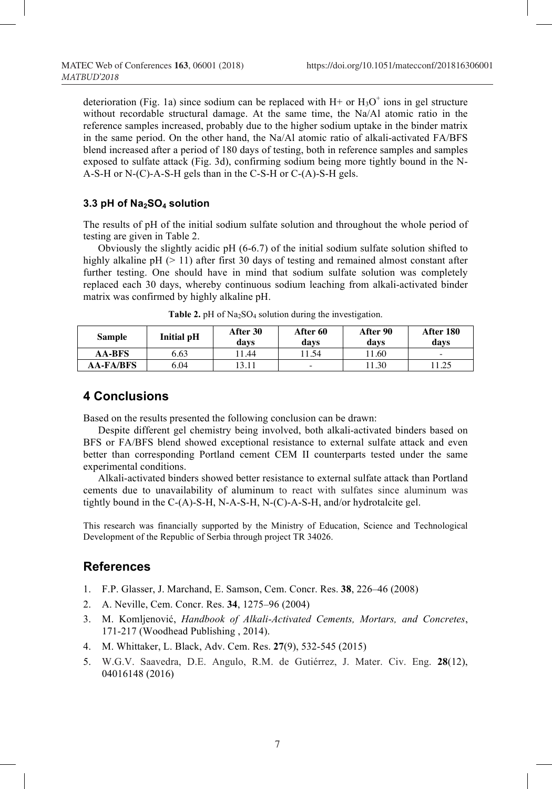deterioration (Fig. 1a) since sodium can be replaced with  $H$ + or  $H_3O^+$  ions in gel structure without recordable structural damage. At the same time, the Na/Al atomic ratio in the reference samples increased, probably due to the higher sodium uptake in the binder matrix in the same period. On the other hand, the Na/Al atomic ratio of alkali-activated FA/BFS blend increased after a period of 180 days of testing, both in reference samples and samples exposed to sulfate attack (Fig. 3d), confirming sodium being more tightly bound in the N-A-S-H or N-(C)-A-S-H gels than in the C-S-H or C-(A)-S-H gels.

### **3.3 pH of Na2SO4 solution**

The results of pH of the initial sodium sulfate solution and throughout the whole period of testing are given in Table 2.

Obviously the slightly acidic pH (6-6.7) of the initial sodium sulfate solution shifted to highly alkaline pH  $(> 11)$  after first 30 days of testing and remained almost constant after further testing. One should have in mind that sodium sulfate solution was completely replaced each 30 days, whereby continuous sodium leaching from alkali-activated binder matrix was confirmed by highly alkaline pH.

| Sample           | <b>Initial pH</b> | After 30<br>davs | After 60<br>davs         | After 90<br>davs | After 180<br>davs        |
|------------------|-------------------|------------------|--------------------------|------------------|--------------------------|
| <b>AA-BFS</b>    | 6.63              | l 1.44           | 1.54                     | 1.60             | $\overline{\phantom{a}}$ |
| <b>AA-FA/BFS</b> | 6.04              | 13.11            | $\overline{\phantom{a}}$ | 1.30             | 11.25                    |

**Table 2.** pH of Na<sub>2</sub>SO<sub>4</sub> solution during the investigation.

### **4 Conclusions**

Based on the results presented the following conclusion can be drawn:

Despite different gel chemistry being involved, both alkali-activated binders based on BFS or FA/BFS blend showed exceptional resistance to external sulfate attack and even better than corresponding Portland cement CEM II counterparts tested under the same experimental conditions.

Alkali-activated binders showed better resistance to external sulfate attack than Portland cements due to unavailability of aluminum to react with sulfates since aluminum was tightly bound in the C-(A)-S-H, N-A-S-H, N-(C)-A-S-H, and/or hydrotalcite gel.

This research was financially supported by the Ministry of Education, Science and Technological Development of the Republic of Serbia through project TR 34026.

### **References**

- 1. F.P. Glasser, J. Marchand, E. Samson, Cem. Concr. Res. **38**, 226–46 (2008)
- 2. A. Neville, Cem. Concr. Res. **34**, 1275–96 (2004)
- 3. M. Komljenović, *Handbook of Alkali-Activated Cements, Mortars, and Concretes*, 171-217 (Woodhead Publishing , 2014).
- 4. M. Whittaker, L. Black, Adv. Cem. Res. **27**(9), 532-545 (2015)
- 5. W.G.V. Saavedra, D.E. Angulo, R.M. de Gutiérrez, J. Mater. Civ. Eng. **28**(12), 04016148 (2016)